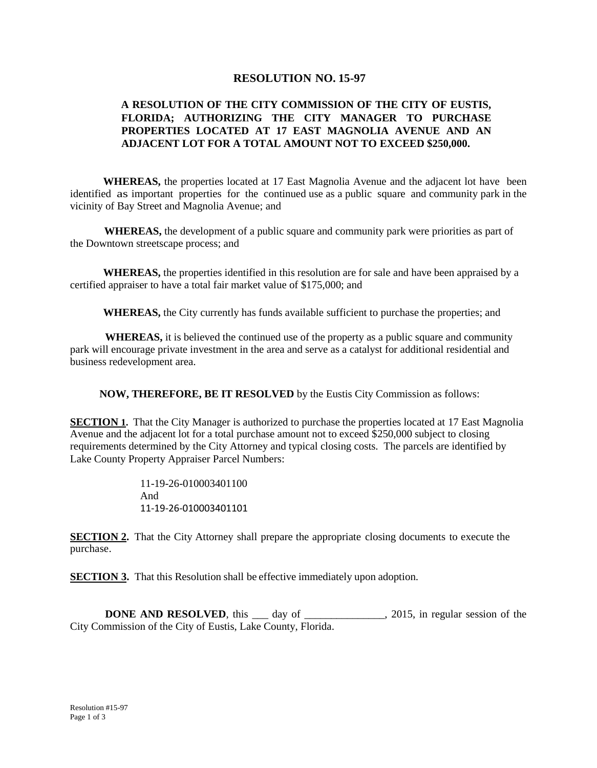## **RESOLUTION NO. 15-97**

## **A RESOLUTION OF THE CITY COMMISSION OF THE CITY OF EUSTIS, FLORIDA; AUTHORIZING THE CITY MANAGER TO PURCHASE PROPERTIES LOCATED AT 17 EAST MAGNOLIA AVENUE AND AN ADJACENT LOT FOR A TOTAL AMOUNT NOT TO EXCEED \$250,000.**

**WHEREAS,** the properties located at 17 East Magnolia Avenue and the adjacent lot have been identified as important properties for the continued use as a public square and community park in the vicinity of Bay Street and Magnolia Avenue; and

**WHEREAS,** the development of a public square and community park were priorities as part of the Downtown streetscape process; and

**WHEREAS,** the properties identified in this resolution are for sale and have been appraised by a certified appraiser to have a total fair market value of \$175,000; and

**WHEREAS,** the City currently has funds available sufficient to purchase the properties; and

**WHEREAS,** it is believed the continued use of the property as a public square and community park will encourage private investment in the area and serve as a catalyst for additional residential and business redevelopment area.

**NOW, THEREFORE, BE IT RESOLVED** by the Eustis City Commission as follows:

**SECTION 1.** That the City Manager is authorized to purchase the properties located at 17 East Magnolia Avenue and the adjacent lot for a total purchase amount not to exceed \$250,000 subject to closing requirements determined by the City Attorney and typical closing costs. The parcels are identified by Lake County Property Appraiser Parcel Numbers:

> 11-19-26-010003401100 And 11-19-26-010003401101

**SECTION 2.** That the City Attorney shall prepare the appropriate closing documents to execute the purchase.

**SECTION 3.** That this Resolution shall be effective immediately upon adoption.

**DONE AND RESOLVED**, this \_\_\_ day of \_\_\_\_\_\_\_\_\_\_\_\_\_\_, 2015, in regular session of the City Commission of the City of Eustis, Lake County, Florida.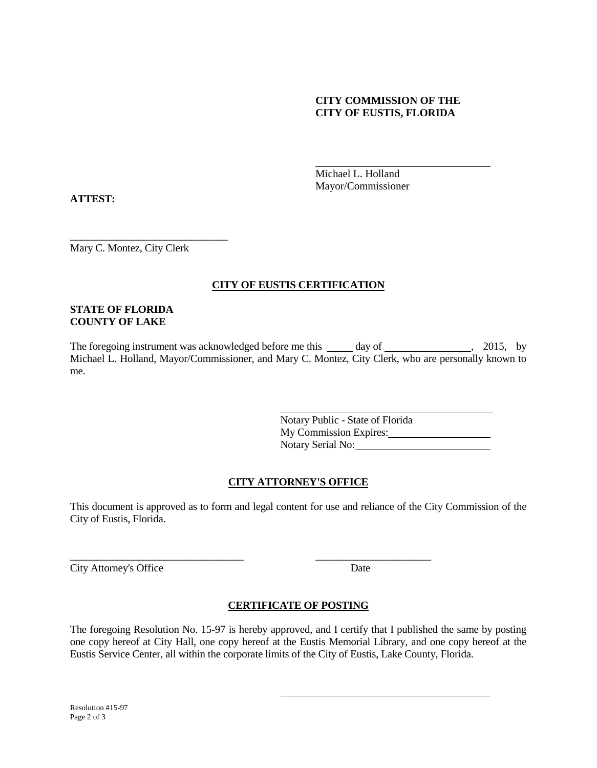### **CITY COMMISSION OF THE CITY OF EUSTIS, FLORIDA**

Michael L. Holland Mayor/Commissioner

**ATTEST:**

\_\_\_\_\_\_\_\_\_\_\_\_\_\_\_\_\_\_\_\_\_\_\_\_\_\_\_\_\_\_ Mary C. Montez, City Clerk

# **CITY OF EUSTIS CERTIFICATION**

### **STATE OF FLORIDA COUNTY OF LAKE**

The foregoing instrument was acknowledged before me this day of , 2015, by Michael L. Holland, Mayor/Commissioner, and Mary C. Montez, City Clerk, who are personally known to me.

> Notary Public - State of Florida My Commission Expires: Notary Serial No:

## **CITY ATTORNEY'S OFFICE**

This document is approved as to form and legal content for use and reliance of the City Commission of the City of Eustis, Florida.

City Attorney's Office Date

## **CERTIFICATE OF POSTING**

\_\_\_\_\_\_\_\_\_\_\_\_\_\_\_\_\_\_\_\_\_\_\_\_\_\_\_\_\_\_\_\_\_ \_\_\_\_\_\_\_\_\_\_\_\_\_\_\_\_\_\_\_\_\_\_

The foregoing Resolution No. 15-97 is hereby approved, and I certify that I published the same by posting one copy hereof at City Hall, one copy hereof at the Eustis Memorial Library, and one copy hereof at the Eustis Service Center, all within the corporate limits of the City of Eustis, Lake County, Florida.